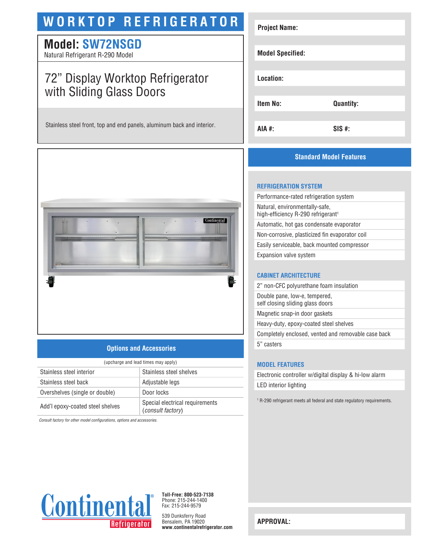# **WORKTOP REFRIGERATOR**

### **Model: SW72NSGD**

Natural Refrigerant R-290 Model

## 72" Display Worktop Refrigerator with Sliding Glass Doors

Stainless steel front, top and end panels, aluminum back and interior.



### **Options and Accessories**

| (upcharge and lead times may apply) |                                                      |  |
|-------------------------------------|------------------------------------------------------|--|
| Stainless steel interior            | Stainless steel shelves                              |  |
| Stainless steel back                | Adjustable legs                                      |  |
| Overshelves (single or double)      | Door locks                                           |  |
| Add'l epoxy-coated steel shelves    | Special electrical requirements<br>(consult factory) |  |

*Consult factory for other model configurations, options and accessories.*

| <b>Project Name:</b>    |                  |
|-------------------------|------------------|
|                         |                  |
| <b>Model Specified:</b> |                  |
|                         |                  |
| Location:               |                  |
|                         |                  |
| <b>Item No:</b>         | <b>Quantity:</b> |
|                         |                  |
| <b>AIA #:</b>           | $SIS$ #:         |

### **Standard Model Features**

#### **REFRIGERATION SYSTEM**

Performance-rated refrigeration system Natural, environmentally-safe, high-efficiency R-290 refrigerant<sup>1</sup> Automatic, hot gas condensate evaporator Non-corrosive, plasticized fin evaporator coil Easily serviceable, back mounted compressor Expansion valve system

#### **CABINET ARCHITECTURE**

2" non-CFC polyurethane foam insulation Double pane, low-e, tempered, self closing sliding glass doors

Magnetic snap-in door gaskets

Heavy-duty, epoxy-coated steel shelves

Completely enclosed, vented and removable case back

5" casters

#### **MODEL FEATURES**

Electronic controller w/digital display & hi-low alarm LED interior lighting

<sup>1</sup> R-290 refrigerant meets all federal and state regulatory requirements.



**Toll-Free: 800-523-7138** Phone: 215-244-1400 Fax: 215-244-9579

539 Dunksferry Road Bensalem, PA 19020 **www.continentalrefrigerator.com** 

**APPROVAL:**